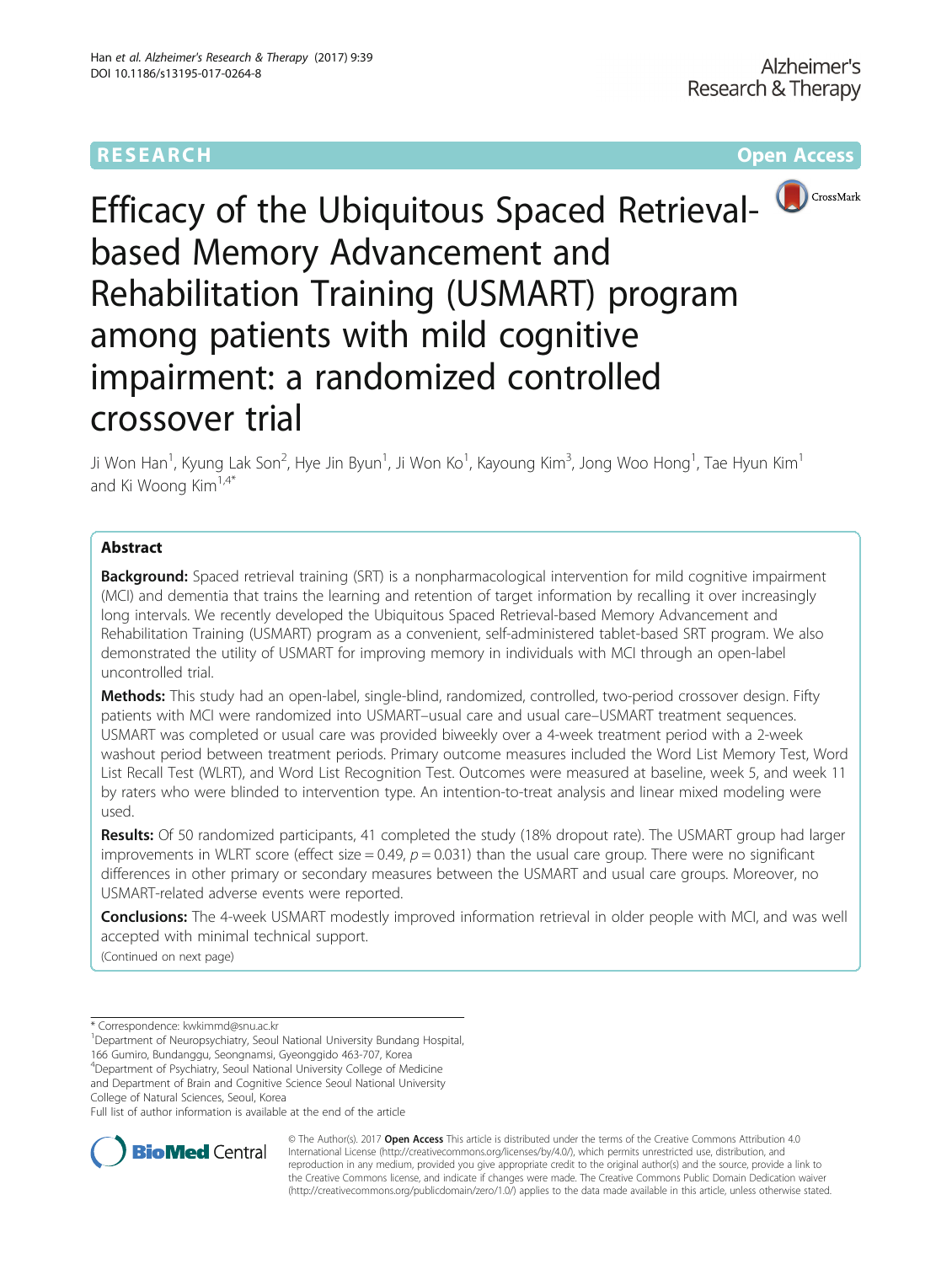# **RESEARCH CHEAR CHEAR CHEAR CHEAR CHEAR CHEAR CHEAR CHEAR CHEAR CHEAR CHEAR CHEAR CHEAR CHEAR CHEAR CHEAR CHEAR**



Efficacy of the Ubiquitous Spaced Retrievalbased Memory Advancement and Rehabilitation Training (USMART) program among patients with mild cognitive impairment: a randomized controlled crossover trial

Ji Won Han<sup>1</sup>, Kyung Lak Son<sup>2</sup>, Hye Jin Byun<sup>1</sup>, Ji Won Ko<sup>1</sup>, Kayoung Kim<sup>3</sup>, Jong Woo Hong<sup>1</sup>, Tae Hyun Kim<sup>1</sup> and Ki Woong Kim $1.4*$ 

# Abstract

**Background:** Spaced retrieval training (SRT) is a nonpharmacological intervention for mild cognitive impairment (MCI) and dementia that trains the learning and retention of target information by recalling it over increasingly long intervals. We recently developed the Ubiquitous Spaced Retrieval-based Memory Advancement and Rehabilitation Training (USMART) program as a convenient, self-administered tablet-based SRT program. We also demonstrated the utility of USMART for improving memory in individuals with MCI through an open-label uncontrolled trial.

Methods: This study had an open-label, single-blind, randomized, controlled, two-period crossover design. Fifty patients with MCI were randomized into USMART–usual care and usual care–USMART treatment sequences. USMART was completed or usual care was provided biweekly over a 4-week treatment period with a 2-week washout period between treatment periods. Primary outcome measures included the Word List Memory Test, Word List Recall Test (WLRT), and Word List Recognition Test. Outcomes were measured at baseline, week 5, and week 11 by raters who were blinded to intervention type. An intention-to-treat analysis and linear mixed modeling were used.

Results: Of 50 randomized participants, 41 completed the study (18% dropout rate). The USMART group had larger improvements in WLRT score (effect size = 0.49,  $p = 0.031$ ) than the usual care group. There were no significant differences in other primary or secondary measures between the USMART and usual care groups. Moreover, no USMART-related adverse events were reported.

**Conclusions:** The 4-week USMART modestly improved information retrieval in older people with MCI, and was well accepted with minimal technical support.

(Continued on next page)

\* Correspondence: [kwkimmd@snu.ac.kr](mailto:kwkimmd@snu.ac.kr) <sup>1</sup>

<sup>1</sup>Department of Neuropsychiatry, Seoul National University Bundang Hospital,

166 Gumiro, Bundanggu, Seongnamsi, Gyeonggido 463-707, Korea

4 Department of Psychiatry, Seoul National University College of Medicine and Department of Brain and Cognitive Science Seoul National University

College of Natural Sciences, Seoul, Korea

Full list of author information is available at the end of the article



© The Author(s). 2017 **Open Access** This article is distributed under the terms of the Creative Commons Attribution 4.0 International License [\(http://creativecommons.org/licenses/by/4.0/](http://creativecommons.org/licenses/by/4.0/)), which permits unrestricted use, distribution, and reproduction in any medium, provided you give appropriate credit to the original author(s) and the source, provide a link to the Creative Commons license, and indicate if changes were made. The Creative Commons Public Domain Dedication waiver [\(http://creativecommons.org/publicdomain/zero/1.0/](http://creativecommons.org/publicdomain/zero/1.0/)) applies to the data made available in this article, unless otherwise stated.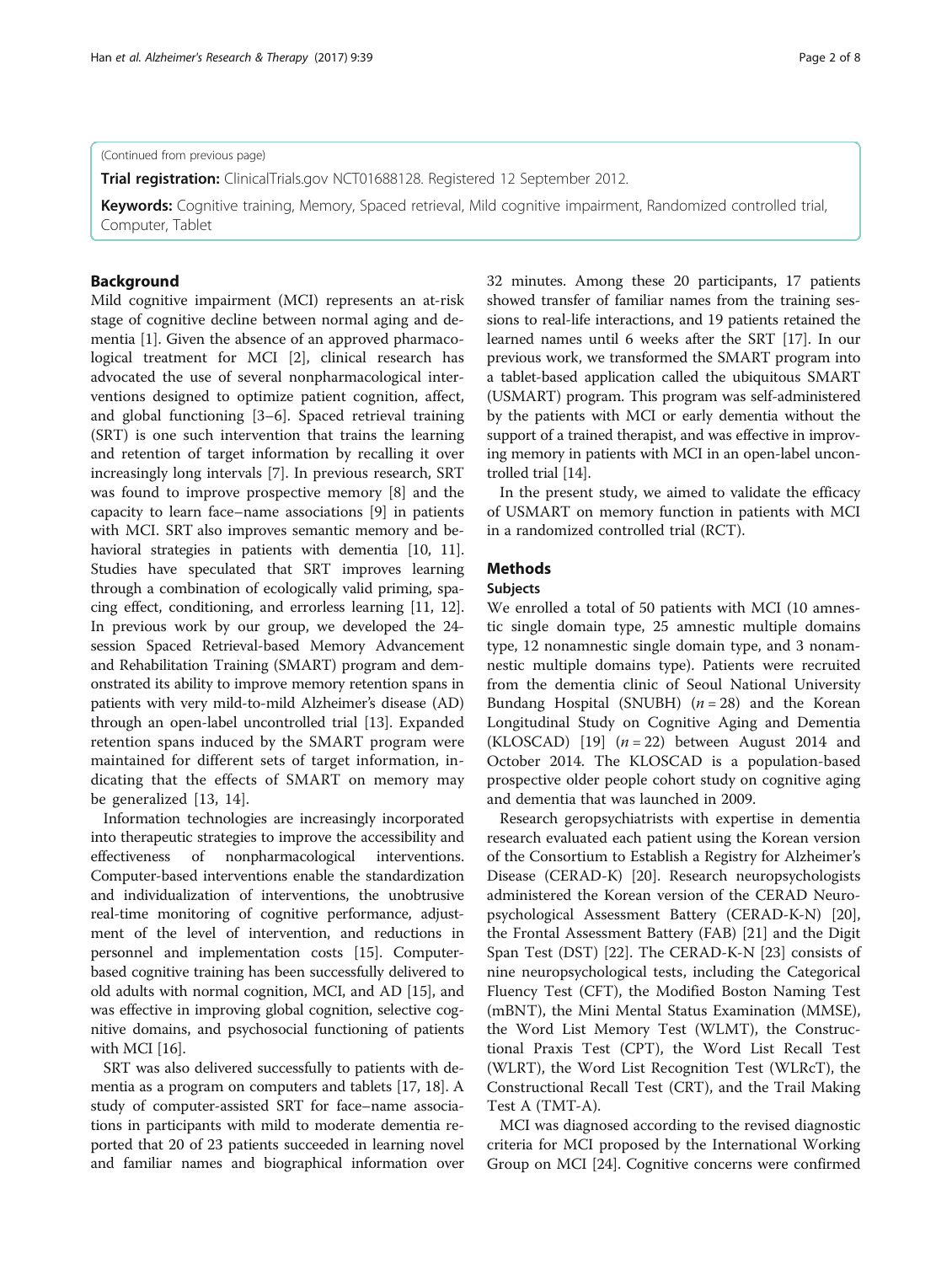### (Continued from previous page)

**Trial registration:** ClinicalTrials.gov [NCT01688128](https://clinicaltrials.gov/ct2/show/NCT01688128). Registered 12 September 2012.

Keywords: Cognitive training, Memory, Spaced retrieval, Mild cognitive impairment, Randomized controlled trial, Computer, Tablet

## Background

Mild cognitive impairment (MCI) represents an at-risk stage of cognitive decline between normal aging and dementia [[1\]](#page-6-0). Given the absence of an approved pharmacological treatment for MCI [[2\]](#page-6-0), clinical research has advocated the use of several nonpharmacological interventions designed to optimize patient cognition, affect, and global functioning [[3](#page-6-0)–[6\]](#page-6-0). Spaced retrieval training (SRT) is one such intervention that trains the learning and retention of target information by recalling it over increasingly long intervals [\[7](#page-6-0)]. In previous research, SRT was found to improve prospective memory [\[8](#page-6-0)] and the capacity to learn face–name associations [\[9](#page-6-0)] in patients with MCI. SRT also improves semantic memory and be-havioral strategies in patients with dementia [\[10, 11](#page-6-0)]. Studies have speculated that SRT improves learning through a combination of ecologically valid priming, spacing effect, conditioning, and errorless learning [[11](#page-6-0), [12](#page-6-0)]. In previous work by our group, we developed the 24 session Spaced Retrieval-based Memory Advancement and Rehabilitation Training (SMART) program and demonstrated its ability to improve memory retention spans in patients with very mild-to-mild Alzheimer's disease (AD) through an open-label uncontrolled trial [[13](#page-7-0)]. Expanded retention spans induced by the SMART program were maintained for different sets of target information, indicating that the effects of SMART on memory may be generalized [\[13](#page-7-0), [14\]](#page-7-0).

Information technologies are increasingly incorporated into therapeutic strategies to improve the accessibility and effectiveness of nonpharmacological interventions. Computer-based interventions enable the standardization and individualization of interventions, the unobtrusive real-time monitoring of cognitive performance, adjustment of the level of intervention, and reductions in personnel and implementation costs [[15](#page-7-0)]. Computerbased cognitive training has been successfully delivered to old adults with normal cognition, MCI, and AD [[15](#page-7-0)], and was effective in improving global cognition, selective cognitive domains, and psychosocial functioning of patients with MCI [\[16](#page-7-0)].

SRT was also delivered successfully to patients with dementia as a program on computers and tablets [\[17, 18\]](#page-7-0). A study of computer-assisted SRT for face–name associations in participants with mild to moderate dementia reported that 20 of 23 patients succeeded in learning novel and familiar names and biographical information over 32 minutes. Among these 20 participants, 17 patients showed transfer of familiar names from the training sessions to real-life interactions, and 19 patients retained the learned names until 6 weeks after the SRT [[17](#page-7-0)]. In our previous work, we transformed the SMART program into a tablet-based application called the ubiquitous SMART (USMART) program. This program was self-administered by the patients with MCI or early dementia without the support of a trained therapist, and was effective in improving memory in patients with MCI in an open-label uncontrolled trial [\[14\]](#page-7-0).

In the present study, we aimed to validate the efficacy of USMART on memory function in patients with MCI in a randomized controlled trial (RCT).

# Methods

## Subjects

We enrolled a total of 50 patients with MCI (10 amnestic single domain type, 25 amnestic multiple domains type, 12 nonamnestic single domain type, and 3 nonamnestic multiple domains type). Patients were recruited from the dementia clinic of Seoul National University Bundang Hospital (SNUBH)  $(n = 28)$  and the Korean Longitudinal Study on Cognitive Aging and Dementia (KLOSCAD) [\[19\]](#page-7-0)  $(n = 22)$  between August 2014 and October 2014. The KLOSCAD is a population-based prospective older people cohort study on cognitive aging and dementia that was launched in 2009.

Research geropsychiatrists with expertise in dementia research evaluated each patient using the Korean version of the Consortium to Establish a Registry for Alzheimer's Disease (CERAD-K) [\[20](#page-7-0)]. Research neuropsychologists administered the Korean version of the CERAD Neuropsychological Assessment Battery (CERAD-K-N) [\[20](#page-7-0)], the Frontal Assessment Battery (FAB) [[21](#page-7-0)] and the Digit Span Test (DST) [[22\]](#page-7-0). The CERAD-K-N [[23\]](#page-7-0) consists of nine neuropsychological tests, including the Categorical Fluency Test (CFT), the Modified Boston Naming Test (mBNT), the Mini Mental Status Examination (MMSE), the Word List Memory Test (WLMT), the Constructional Praxis Test (CPT), the Word List Recall Test (WLRT), the Word List Recognition Test (WLRcT), the Constructional Recall Test (CRT), and the Trail Making Test A (TMT-A).

MCI was diagnosed according to the revised diagnostic criteria for MCI proposed by the International Working Group on MCI [[24](#page-7-0)]. Cognitive concerns were confirmed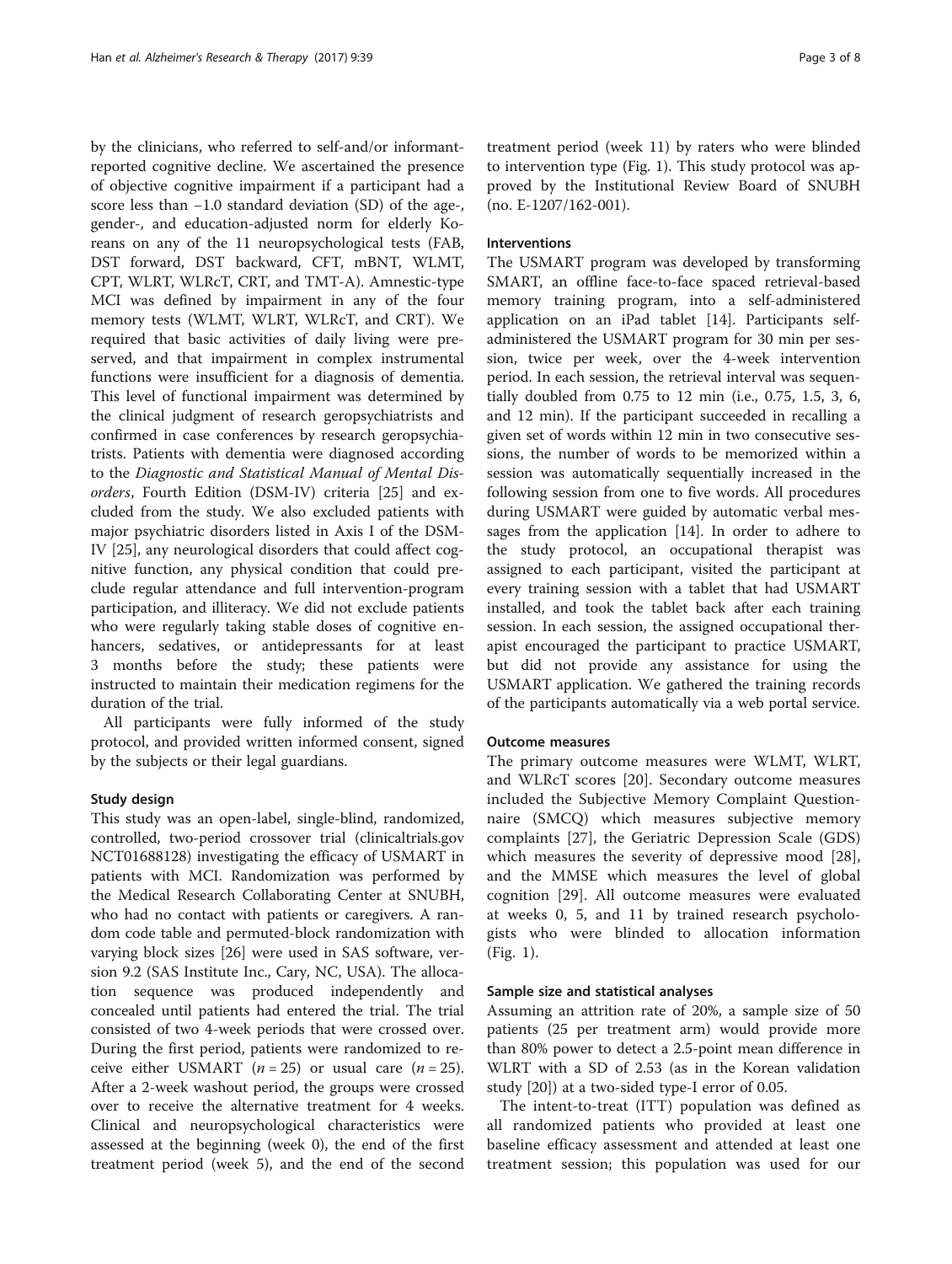by the clinicians, who referred to self-and/or informantreported cognitive decline. We ascertained the presence of objective cognitive impairment if a participant had a score less than −1.0 standard deviation (SD) of the age-, gender-, and education-adjusted norm for elderly Koreans on any of the 11 neuropsychological tests (FAB, DST forward, DST backward, CFT, mBNT, WLMT, CPT, WLRT, WLRcT, CRT, and TMT-A). Amnestic-type MCI was defined by impairment in any of the four memory tests (WLMT, WLRT, WLRcT, and CRT). We required that basic activities of daily living were preserved, and that impairment in complex instrumental functions were insufficient for a diagnosis of dementia. This level of functional impairment was determined by the clinical judgment of research geropsychiatrists and confirmed in case conferences by research geropsychiatrists. Patients with dementia were diagnosed according to the Diagnostic and Statistical Manual of Mental Disorders, Fourth Edition (DSM-IV) criteria [[25\]](#page-7-0) and excluded from the study. We also excluded patients with major psychiatric disorders listed in Axis I of the DSM-IV [\[25\]](#page-7-0), any neurological disorders that could affect cognitive function, any physical condition that could preclude regular attendance and full intervention-program participation, and illiteracy. We did not exclude patients who were regularly taking stable doses of cognitive enhancers, sedatives, or antidepressants for at least 3 months before the study; these patients were instructed to maintain their medication regimens for the duration of the trial.

All participants were fully informed of the study protocol, and provided written informed consent, signed by the subjects or their legal guardians.

#### Study design

This study was an open-label, single-blind, randomized, controlled, two-period crossover trial (clinicaltrials.gov NCT01688128) investigating the efficacy of USMART in patients with MCI. Randomization was performed by the Medical Research Collaborating Center at SNUBH, who had no contact with patients or caregivers. A random code table and permuted-block randomization with varying block sizes [\[26\]](#page-7-0) were used in SAS software, version 9.2 (SAS Institute Inc., Cary, NC, USA). The allocation sequence was produced independently and concealed until patients had entered the trial. The trial consisted of two 4-week periods that were crossed over. During the first period, patients were randomized to receive either USMART ( $n = 25$ ) or usual care ( $n = 25$ ). After a 2-week washout period, the groups were crossed over to receive the alternative treatment for 4 weeks. Clinical and neuropsychological characteristics were assessed at the beginning (week 0), the end of the first treatment period (week 5), and the end of the second treatment period (week 11) by raters who were blinded to intervention type (Fig. [1](#page-3-0)). This study protocol was approved by the Institutional Review Board of SNUBH (no. E-1207/162-001).

#### Interventions

The USMART program was developed by transforming SMART, an offline face-to-face spaced retrieval-based memory training program, into a self-administered application on an iPad tablet [\[14](#page-7-0)]. Participants selfadministered the USMART program for 30 min per session, twice per week, over the 4-week intervention period. In each session, the retrieval interval was sequentially doubled from 0.75 to 12 min (i.e., 0.75, 1.5, 3, 6, and 12 min). If the participant succeeded in recalling a given set of words within 12 min in two consecutive sessions, the number of words to be memorized within a session was automatically sequentially increased in the following session from one to five words. All procedures during USMART were guided by automatic verbal messages from the application [\[14](#page-7-0)]. In order to adhere to the study protocol, an occupational therapist was assigned to each participant, visited the participant at every training session with a tablet that had USMART installed, and took the tablet back after each training session. In each session, the assigned occupational therapist encouraged the participant to practice USMART, but did not provide any assistance for using the USMART application. We gathered the training records of the participants automatically via a web portal service.

#### Outcome measures

The primary outcome measures were WLMT, WLRT, and WLRcT scores [[20\]](#page-7-0). Secondary outcome measures included the Subjective Memory Complaint Questionnaire (SMCQ) which measures subjective memory complaints [[27](#page-7-0)], the Geriatric Depression Scale (GDS) which measures the severity of depressive mood [\[28](#page-7-0)], and the MMSE which measures the level of global cognition [\[29](#page-7-0)]. All outcome measures were evaluated at weeks 0, 5, and 11 by trained research psychologists who were blinded to allocation information (Fig. [1\)](#page-3-0).

#### Sample size and statistical analyses

Assuming an attrition rate of 20%, a sample size of 50 patients (25 per treatment arm) would provide more than 80% power to detect a 2.5-point mean difference in WLRT with a SD of 2.53 (as in the Korean validation study [[20\]](#page-7-0)) at a two-sided type-I error of 0.05.

The intent-to-treat (ITT) population was defined as all randomized patients who provided at least one baseline efficacy assessment and attended at least one treatment session; this population was used for our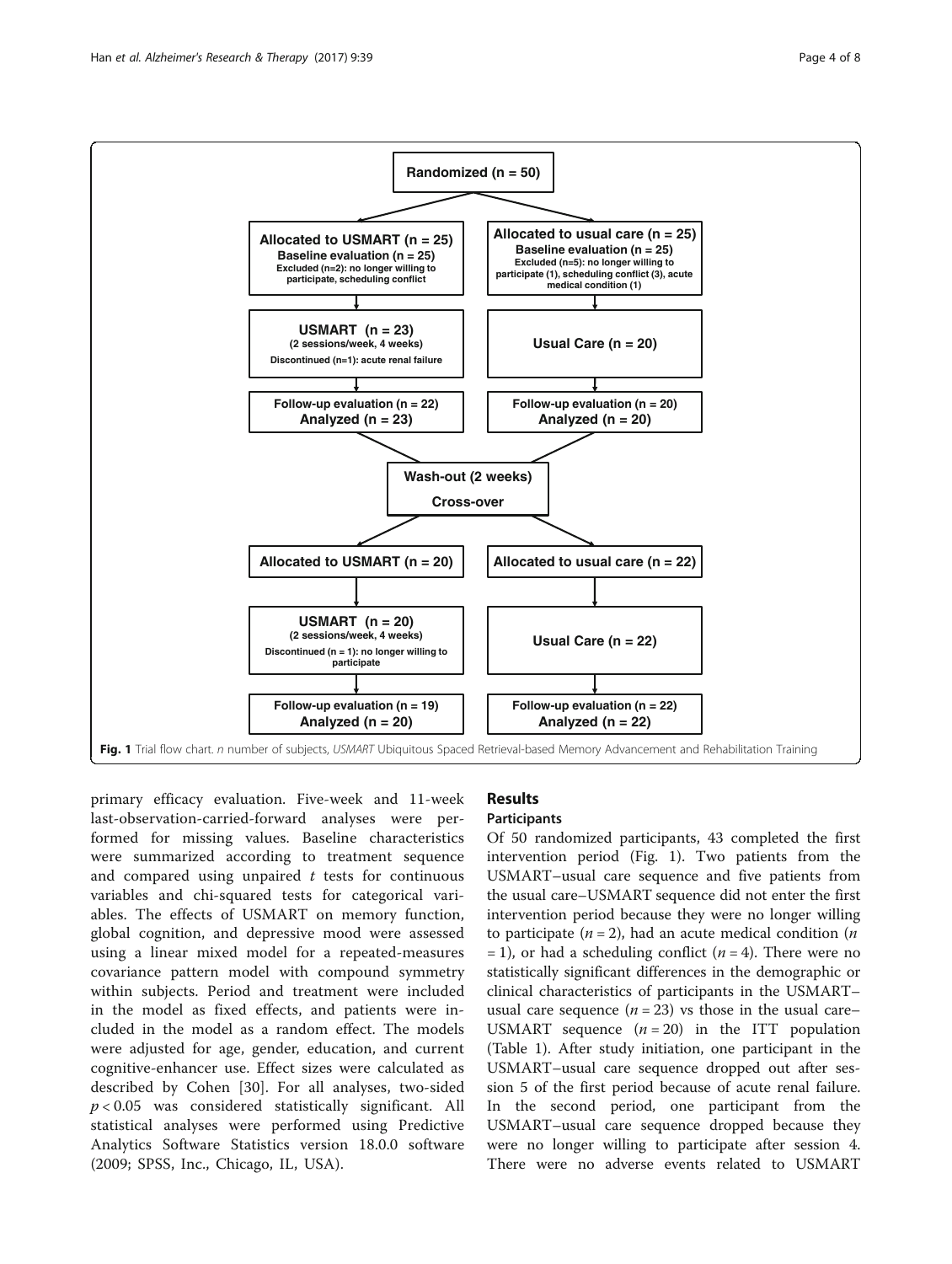<span id="page-3-0"></span>

primary efficacy evaluation. Five-week and 11-week last-observation-carried-forward analyses were performed for missing values. Baseline characteristics were summarized according to treatment sequence and compared using unpaired  $t$  tests for continuous variables and chi-squared tests for categorical variables. The effects of USMART on memory function, global cognition, and depressive mood were assessed using a linear mixed model for a repeated-measures covariance pattern model with compound symmetry within subjects. Period and treatment were included in the model as fixed effects, and patients were included in the model as a random effect. The models were adjusted for age, gender, education, and current cognitive-enhancer use. Effect sizes were calculated as described by Cohen [[30\]](#page-7-0). For all analyses, two-sided  $p < 0.05$  was considered statistically significant. All statistical analyses were performed using Predictive Analytics Software Statistics version 18.0.0 software (2009; SPSS, Inc., Chicago, IL, USA).

# Results

**Participants** 

Of 50 randomized participants, 43 completed the first intervention period (Fig. 1). Two patients from the USMART–usual care sequence and five patients from the usual care–USMART sequence did not enter the first intervention period because they were no longer willing to participate ( $n = 2$ ), had an acute medical condition ( $n$ )  $= 1$ ), or had a scheduling conflict (*n* = 4). There were no statistically significant differences in the demographic or clinical characteristics of participants in the USMART– usual care sequence  $(n = 23)$  vs those in the usual care– USMART sequence  $(n = 20)$  in the ITT population (Table [1\)](#page-4-0). After study initiation, one participant in the USMART–usual care sequence dropped out after session 5 of the first period because of acute renal failure. In the second period, one participant from the USMART–usual care sequence dropped because they were no longer willing to participate after session 4. There were no adverse events related to USMART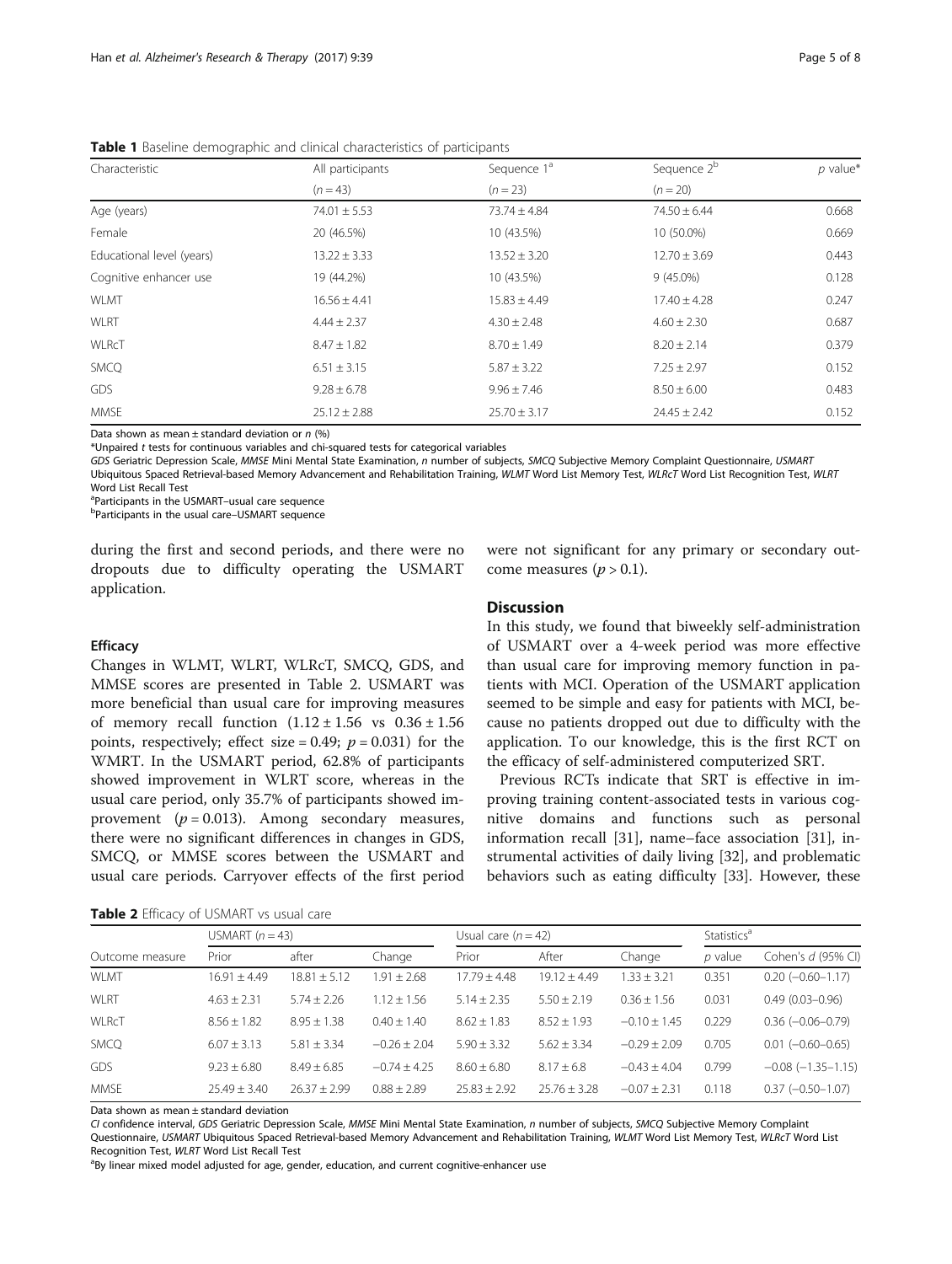| Characteristic            | All participants | Sequence 1 <sup>ª</sup> | Sequence 2 <sup>b</sup> | $p$ value <sup>*</sup> |
|---------------------------|------------------|-------------------------|-------------------------|------------------------|
|                           | $(n=43)$         | $(n = 23)$              | $(n = 20)$              |                        |
| Age (years)               | $74.01 \pm 5.53$ | $73.74 \pm 4.84$        | $74.50 \pm 6.44$        | 0.668                  |
| Female                    | 20 (46.5%)       | 10 (43.5%)              | 10 (50.0%)              | 0.669                  |
| Educational level (years) | $13.22 \pm 3.33$ | $13.52 \pm 3.20$        | $12.70 \pm 3.69$        | 0.443                  |
| Cognitive enhancer use    | 19 (44.2%)       | 10 (43.5%)              | $9(45.0\%)$             | 0.128                  |
| <b>WLMT</b>               | $16.56 \pm 4.41$ | $15.83 \pm 4.49$        | $17.40 \pm 4.28$        | 0.247                  |
| <b>WLRT</b>               | $4.44 \pm 2.37$  | $4.30 \pm 2.48$         | $4.60 \pm 2.30$         | 0.687                  |
| WLRcT                     | $8.47 \pm 1.82$  | $8.70 \pm 1.49$         | $8.20 \pm 2.14$         | 0.379                  |
| <b>SMCQ</b>               | $6.51 \pm 3.15$  | $5.87 \pm 3.22$         | $7.25 \pm 2.97$         | 0.152                  |
| GDS                       | $9.28 \pm 6.78$  | $9.96 \pm 7.46$         | $8.50 \pm 6.00$         | 0.483                  |
| <b>MMSE</b>               | $25.12 \pm 2.88$ | $25.70 \pm 3.17$        | $24.45 \pm 2.42$        | 0.152                  |

<span id="page-4-0"></span>Table 1 Baseline demographic and clinical characteristics of participants

Data shown as mean  $\pm$  standard deviation or  $n$  (%)

\*Unpaired t tests for continuous variables and chi-squared tests for categorical variables

GDS Geriatric Depression Scale, MMSE Mini Mental State Examination, n number of subjects, SMCQ Subjective Memory Complaint Questionnaire, USMART Ubiquitous Spaced Retrieval-based Memory Advancement and Rehabilitation Training, WLMT Word List Memory Test, WLRCT Word List Recognition Test, WLRT Word List Recall Test

<sup>a</sup> Participants in the USMART–usual care sequence

Participants in the usual care–USMART sequence

during the first and second periods, and there were no dropouts due to difficulty operating the USMART application.

## were not significant for any primary or secondary outcome measures ( $p > 0.1$ ).

### **Efficacy**

Changes in WLMT, WLRT, WLRcT, SMCQ, GDS, and MMSE scores are presented in Table 2. USMART was more beneficial than usual care for improving measures of memory recall function  $(1.12 \pm 1.56 \text{ vs } 0.36 \pm 1.56$ points, respectively; effect size =  $0.49$ ;  $p = 0.031$ ) for the WMRT. In the USMART period, 62.8% of participants showed improvement in WLRT score, whereas in the usual care period, only 35.7% of participants showed improvement ( $p = 0.013$ ). Among secondary measures, there were no significant differences in changes in GDS, SMCQ, or MMSE scores between the USMART and usual care periods. Carryover effects of the first period

| <b>Discussion</b> |
|-------------------|
|                   |

In this study, we found that biweekly self-administration of USMART over a 4-week period was more effective than usual care for improving memory function in patients with MCI. Operation of the USMART application seemed to be simple and easy for patients with MCI, because no patients dropped out due to difficulty with the application. To our knowledge, this is the first RCT on the efficacy of self-administered computerized SRT.

Previous RCTs indicate that SRT is effective in improving training content-associated tests in various cognitive domains and functions such as personal information recall [\[31\]](#page-7-0), name–face association [[31](#page-7-0)], instrumental activities of daily living [\[32\]](#page-7-0), and problematic behaviors such as eating difficulty [[33\]](#page-7-0). However, these

| Table 2 Efficacy of USMART vs usual care |
|------------------------------------------|
|------------------------------------------|

| Outcome measure | USMART $(n = 43)$ |                  |                  | Usual care $(n = 42)$ |                 |                  | Statistics <sup>a</sup> |                           |
|-----------------|-------------------|------------------|------------------|-----------------------|-----------------|------------------|-------------------------|---------------------------|
|                 | Prior             | after            | Change           | Prior                 | After           | Change           | p value                 | Cohen's d (95% CI)        |
| <b>WLMT</b>     | $16.91 + 4.49$    | $18.81 \pm 5.12$ | $.91 \pm 2.68$   | $17.79 + 4.48$        | $19.12 + 4.49$  | $1.33 \pm 3.21$  | 0.351                   | $0.20$ ( $-0.60 - 1.17$ ) |
| <b>WLRT</b>     | $4.63 \pm 2.31$   | $5.74 + 2.26$    | $1.12 \pm 1.56$  | $5.14 + 2.35$         | $5.50 + 2.19$   | $0.36 \pm 1.56$  | 0.031                   | $0.49(0.03 - 0.96)$       |
| WLRcT           | $8.56 \pm 1.82$   | $8.95 + 1.38$    | $0.40 + 1.40$    | $8.62 \pm 1.83$       | $8.52 \pm 1.93$ | $-0.10 + 1.45$   | 0.229                   | $0.36$ ( $-0.06 - 0.79$ ) |
| <b>SMCQ</b>     | $6.07 \pm 3.13$   | $5.81 \pm 3.34$  | $-0.26 + 2.04$   | $5.90 \pm 3.32$       | $5.62 \pm 3.34$ | $-0.29 + 2.09$   | 0.705                   | $0.01$ ( $-0.60 - 0.65$ ) |
| <b>GDS</b>      | $9.23 \pm 6.80$   | $8.49 + 6.85$    | $-0.74 \pm 4.25$ | $8.60 + 6.80$         | $8.17 \pm 6.8$  | $-0.43 \pm 4.04$ | 0.799                   | $-0.08$ $(-1.35-1.15)$    |
| <b>MMSE</b>     | $25.49 + 3.40$    | $26.37 + 2.99$   | $0.88 + 2.89$    | $25.83 + 2.92$        | $25.76 + 3.28$  | $-0.07 + 2.31$   | 0.118                   | $0.37 (-0.50 - 1.07)$     |

Data shown as mean ± standard deviation

CI confidence interval, GDS Geriatric Depression Scale, MMSE Mini Mental State Examination, n number of subjects, SMCQ Subjective Memory Complaint Questionnaire, USMART Ubiquitous Spaced Retrieval-based Memory Advancement and Rehabilitation Training, WLMT Word List Memory Test, WLRcT Word List Recognition Test, WLRT Word List Recall Test

<sup>a</sup>By linear mixed model adjusted for age, gender, education, and current cognitive-enhancer use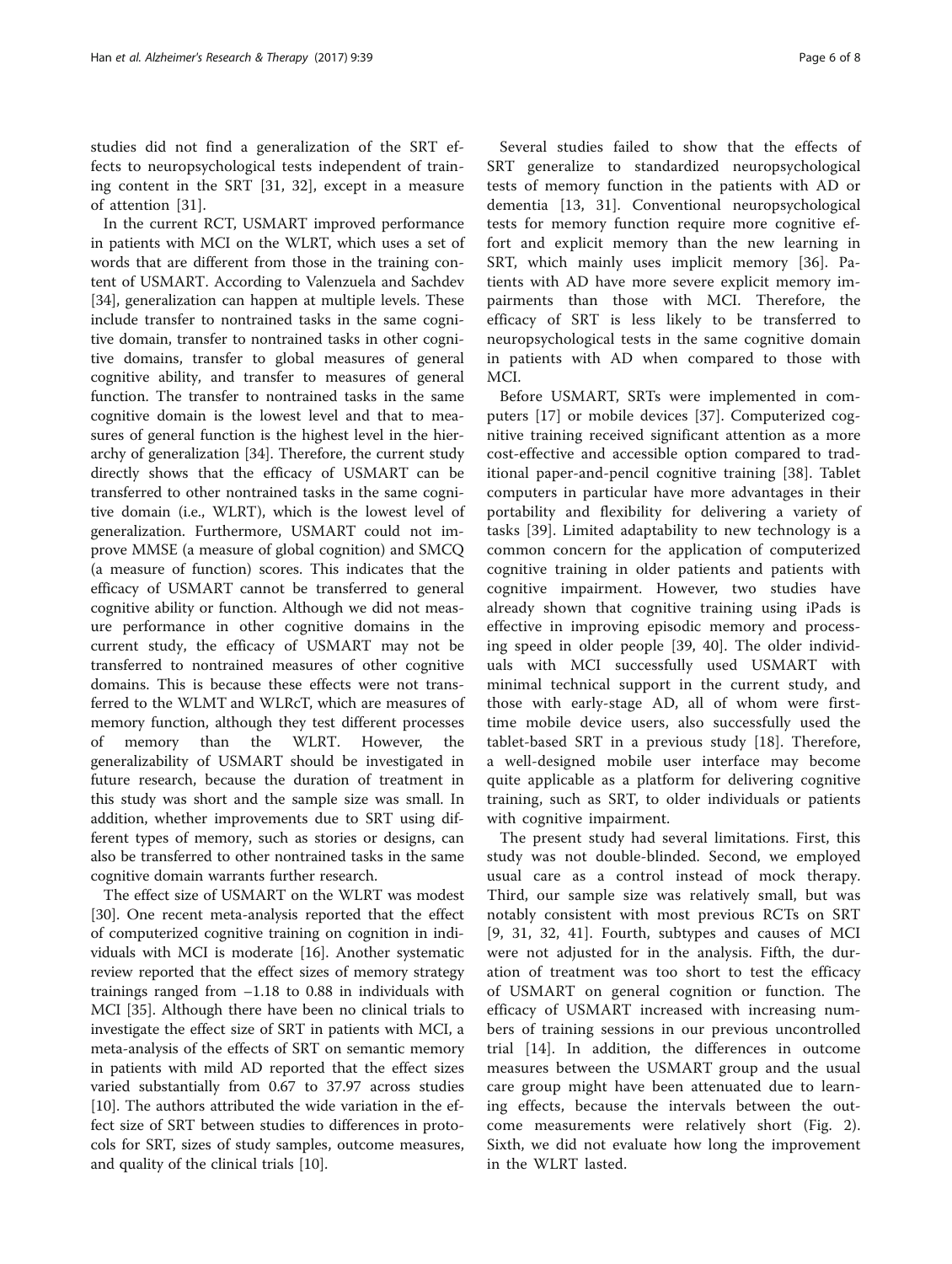studies did not find a generalization of the SRT effects to neuropsychological tests independent of training content in the SRT [[31](#page-7-0), [32\]](#page-7-0), except in a measure of attention [[31\]](#page-7-0).

In the current RCT, USMART improved performance in patients with MCI on the WLRT, which uses a set of words that are different from those in the training content of USMART. According to Valenzuela and Sachdev [[34\]](#page-7-0), generalization can happen at multiple levels. These include transfer to nontrained tasks in the same cognitive domain, transfer to nontrained tasks in other cognitive domains, transfer to global measures of general cognitive ability, and transfer to measures of general function. The transfer to nontrained tasks in the same cognitive domain is the lowest level and that to measures of general function is the highest level in the hierarchy of generalization [\[34\]](#page-7-0). Therefore, the current study directly shows that the efficacy of USMART can be transferred to other nontrained tasks in the same cognitive domain (i.e., WLRT), which is the lowest level of generalization. Furthermore, USMART could not improve MMSE (a measure of global cognition) and SMCQ (a measure of function) scores. This indicates that the efficacy of USMART cannot be transferred to general cognitive ability or function. Although we did not measure performance in other cognitive domains in the current study, the efficacy of USMART may not be transferred to nontrained measures of other cognitive domains. This is because these effects were not transferred to the WLMT and WLRcT, which are measures of memory function, although they test different processes of memory than the WLRT. However, the generalizability of USMART should be investigated in future research, because the duration of treatment in this study was short and the sample size was small. In addition, whether improvements due to SRT using different types of memory, such as stories or designs, can also be transferred to other nontrained tasks in the same cognitive domain warrants further research.

The effect size of USMART on the WLRT was modest [[30\]](#page-7-0). One recent meta-analysis reported that the effect of computerized cognitive training on cognition in individuals with MCI is moderate [[16\]](#page-7-0). Another systematic review reported that the effect sizes of memory strategy trainings ranged from –1.18 to 0.88 in individuals with MCI [\[35](#page-7-0)]. Although there have been no clinical trials to investigate the effect size of SRT in patients with MCI, a meta-analysis of the effects of SRT on semantic memory in patients with mild AD reported that the effect sizes varied substantially from 0.67 to 37.97 across studies [[10\]](#page-6-0). The authors attributed the wide variation in the effect size of SRT between studies to differences in protocols for SRT, sizes of study samples, outcome measures, and quality of the clinical trials [\[10\]](#page-6-0).

Several studies failed to show that the effects of SRT generalize to standardized neuropsychological tests of memory function in the patients with AD or dementia [[13, 31](#page-7-0)]. Conventional neuropsychological tests for memory function require more cognitive effort and explicit memory than the new learning in SRT, which mainly uses implicit memory [[36\]](#page-7-0). Patients with AD have more severe explicit memory impairments than those with MCI. Therefore, the efficacy of SRT is less likely to be transferred to neuropsychological tests in the same cognitive domain in patients with AD when compared to those with MCI.

Before USMART, SRTs were implemented in computers [[17](#page-7-0)] or mobile devices [[37\]](#page-7-0). Computerized cognitive training received significant attention as a more cost-effective and accessible option compared to traditional paper-and-pencil cognitive training [[38](#page-7-0)]. Tablet computers in particular have more advantages in their portability and flexibility for delivering a variety of tasks [[39\]](#page-7-0). Limited adaptability to new technology is a common concern for the application of computerized cognitive training in older patients and patients with cognitive impairment. However, two studies have already shown that cognitive training using iPads is effective in improving episodic memory and processing speed in older people [\[39](#page-7-0), [40\]](#page-7-0). The older individuals with MCI successfully used USMART with minimal technical support in the current study, and those with early-stage AD, all of whom were firsttime mobile device users, also successfully used the tablet-based SRT in a previous study [[18](#page-7-0)]. Therefore, a well-designed mobile user interface may become quite applicable as a platform for delivering cognitive training, such as SRT, to older individuals or patients with cognitive impairment.

The present study had several limitations. First, this study was not double-blinded. Second, we employed usual care as a control instead of mock therapy. Third, our sample size was relatively small, but was notably consistent with most previous RCTs on SRT [[9,](#page-6-0) [31, 32](#page-7-0), [41\]](#page-7-0). Fourth, subtypes and causes of MCI were not adjusted for in the analysis. Fifth, the duration of treatment was too short to test the efficacy of USMART on general cognition or function. The efficacy of USMART increased with increasing numbers of training sessions in our previous uncontrolled trial [[14\]](#page-7-0). In addition, the differences in outcome measures between the USMART group and the usual care group might have been attenuated due to learning effects, because the intervals between the outcome measurements were relatively short (Fig. [2](#page-6-0)). Sixth, we did not evaluate how long the improvement in the WLRT lasted.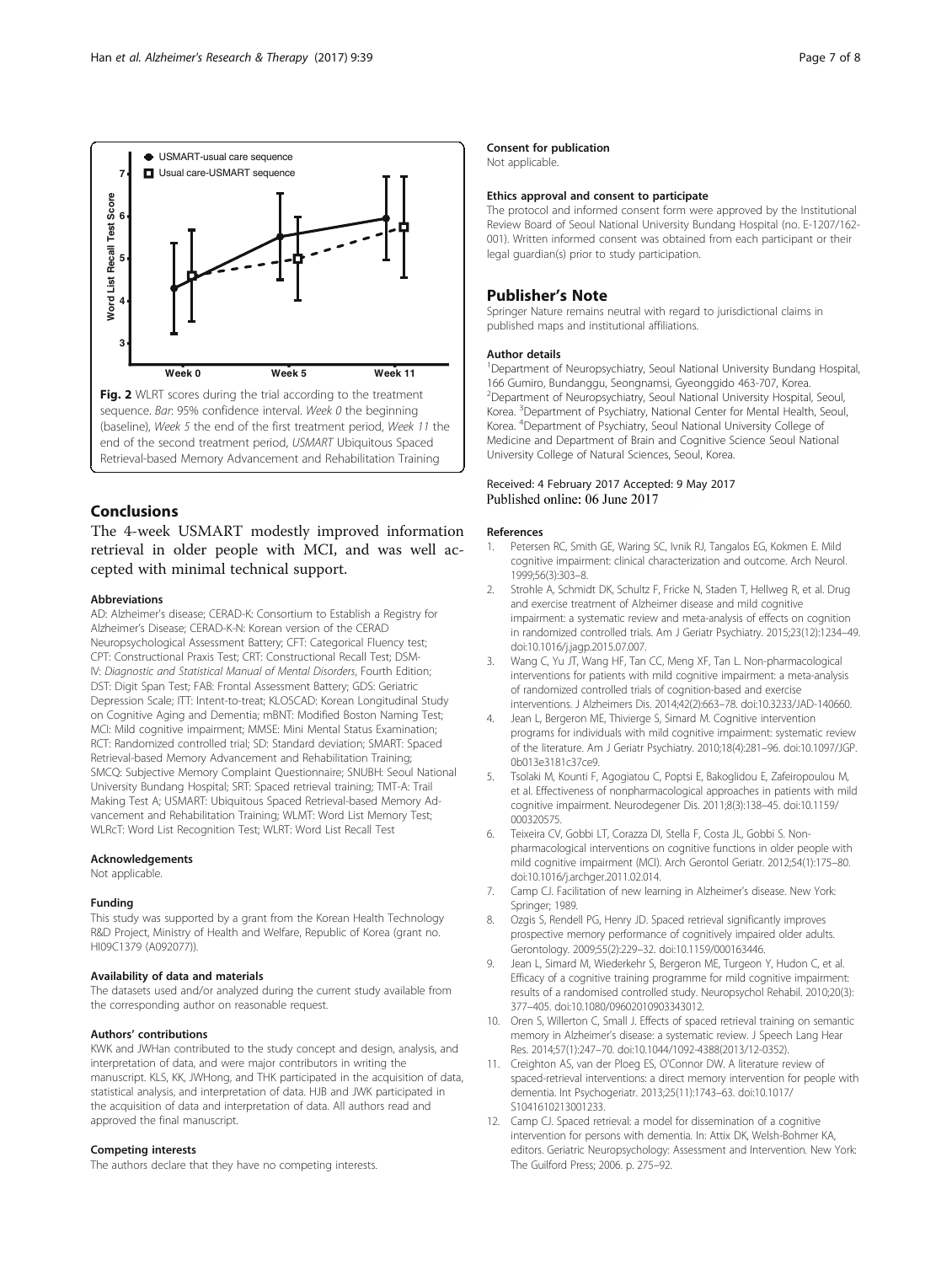<span id="page-6-0"></span>

Fig. 2 WLRT scores during the trial according to the treatment sequence. Bar: 95% confidence interval. Week 0 the beginning (baseline), Week 5 the end of the first treatment period, Week 11 the end of the second treatment period, USMART Ubiquitous Spaced Retrieval-based Memory Advancement and Rehabilitation Training

# Conclusions

The 4-week USMART modestly improved information retrieval in older people with MCI, and was well accepted with minimal technical support.

#### Abbreviations

AD: Alzheimer's disease; CERAD-K: Consortium to Establish a Registry for Alzheimer's Disease; CERAD-K-N: Korean version of the CERAD Neuropsychological Assessment Battery; CFT: Categorical Fluency test; CPT: Constructional Praxis Test; CRT: Constructional Recall Test; DSM-IV: Diagnostic and Statistical Manual of Mental Disorders, Fourth Edition; DST: Digit Span Test; FAB: Frontal Assessment Battery; GDS: Geriatric Depression Scale; ITT: Intent-to-treat; KLOSCAD: Korean Longitudinal Study on Cognitive Aging and Dementia; mBNT: Modified Boston Naming Test; MCI: Mild cognitive impairment; MMSE: Mini Mental Status Examination; RCT: Randomized controlled trial; SD: Standard deviation; SMART: Spaced Retrieval-based Memory Advancement and Rehabilitation Training; SMCQ: Subjective Memory Complaint Questionnaire; SNUBH: Seoul National University Bundang Hospital; SRT: Spaced retrieval training; TMT-A: Trail Making Test A; USMART: Ubiquitous Spaced Retrieval-based Memory Advancement and Rehabilitation Training; WLMT: Word List Memory Test; WLRcT: Word List Recognition Test; WLRT: Word List Recall Test

#### Acknowledgements

Not applicable.

#### Funding

This study was supported by a grant from the Korean Health Technology R&D Project, Ministry of Health and Welfare, Republic of Korea (grant no. HI09C1379 (A092077)).

#### Availability of data and materials

The datasets used and/or analyzed during the current study available from the corresponding author on reasonable request.

#### Authors' contributions

KWK and JWHan contributed to the study concept and design, analysis, and interpretation of data, and were major contributors in writing the manuscript. KLS, KK, JWHong, and THK participated in the acquisition of data, statistical analysis, and interpretation of data. HJB and JWK participated in the acquisition of data and interpretation of data. All authors read and approved the final manuscript.

#### Competing interests

The authors declare that they have no competing interests.

#### Consent for publication

Not applicable.

#### Ethics approval and consent to participate

The protocol and informed consent form were approved by the Institutional Review Board of Seoul National University Bundang Hospital (no. E-1207/162- 001). Written informed consent was obtained from each participant or their legal guardian(s) prior to study participation.

## Publisher's Note

Springer Nature remains neutral with regard to jurisdictional claims in published maps and institutional affiliations.

#### Author details

<sup>1</sup>Department of Neuropsychiatry, Seoul National University Bundang Hospital 166 Gumiro, Bundanggu, Seongnamsi, Gyeonggido 463-707, Korea. <sup>2</sup>Department of Neuropsychiatry, Seoul National University Hospital, Seoul, Korea. <sup>3</sup>Department of Psychiatry, National Center for Mental Health, Seoul, Korea. <sup>4</sup> Department of Psychiatry, Seoul National University College of Medicine and Department of Brain and Cognitive Science Seoul National University College of Natural Sciences, Seoul, Korea.

#### Received: 4 February 2017 Accepted: 9 May 2017 Published online: 06 June 2017

#### References

- 1. Petersen RC, Smith GE, Waring SC, Ivnik RJ, Tangalos EG, Kokmen E. Mild cognitive impairment: clinical characterization and outcome. Arch Neurol. 1999;56(3):303–8.
- 2. Strohle A, Schmidt DK, Schultz F, Fricke N, Staden T, Hellweg R, et al. Drug and exercise treatment of Alzheimer disease and mild cognitive impairment: a systematic review and meta-analysis of effects on cognition in randomized controlled trials. Am J Geriatr Psychiatry. 2015;23(12):1234–49. doi[:10.1016/j.jagp.2015.07.007](http://dx.doi.org/10.1016/j.jagp.2015.07.007).
- 3. Wang C, Yu JT, Wang HF, Tan CC, Meng XF, Tan L. Non-pharmacological interventions for patients with mild cognitive impairment: a meta-analysis of randomized controlled trials of cognition-based and exercise interventions. J Alzheimers Dis. 2014;42(2):663–78. doi[:10.3233/JAD-140660.](http://dx.doi.org/10.3233/JAD-140660)
- 4. Jean L, Bergeron ME, Thivierge S, Simard M. Cognitive intervention programs for individuals with mild cognitive impairment: systematic review of the literature. Am J Geriatr Psychiatry. 2010;18(4):281–96. doi:[10.1097/JGP.](http://dx.doi.org/10.1097/JGP.0b013e3181c37ce9) [0b013e3181c37ce9](http://dx.doi.org/10.1097/JGP.0b013e3181c37ce9).
- 5. Tsolaki M, Kounti F, Agogiatou C, Poptsi E, Bakoglidou E, Zafeiropoulou M, et al. Effectiveness of nonpharmacological approaches in patients with mild cognitive impairment. Neurodegener Dis. 2011;8(3):138–45. doi:[10.1159/](http://dx.doi.org/10.1159/000320575) [000320575](http://dx.doi.org/10.1159/000320575).
- 6. Teixeira CV, Gobbi LT, Corazza DI, Stella F, Costa JL, Gobbi S. Nonpharmacological interventions on cognitive functions in older people with mild cognitive impairment (MCI). Arch Gerontol Geriatr. 2012;54(1):175–80. doi[:10.1016/j.archger.2011.02.014.](http://dx.doi.org/10.1016/j.archger.2011.02.014)
- 7. Camp CJ. Facilitation of new learning in Alzheimer's disease. New York: Springer; 1989.
- 8. Ozgis S, Rendell PG, Henry JD. Spaced retrieval significantly improves prospective memory performance of cognitively impaired older adults. Gerontology. 2009;55(2):229–32. doi:[10.1159/000163446.](http://dx.doi.org/10.1159/000163446)
- 9. Jean L, Simard M, Wiederkehr S, Bergeron ME, Turgeon Y, Hudon C, et al. Efficacy of a cognitive training programme for mild cognitive impairment: results of a randomised controlled study. Neuropsychol Rehabil. 2010;20(3): 377–405. doi[:10.1080/09602010903343012.](http://dx.doi.org/10.1080/09602010903343012)
- 10. Oren S, Willerton C, Small J. Effects of spaced retrieval training on semantic memory in Alzheimer's disease: a systematic review. J Speech Lang Hear Res. 2014;57(1):247–70. doi:[10.1044/1092-4388\(2013/12-0352\).](http://dx.doi.org/10.1044/1092-4388(2013/12-0352))
- 11. Creighton AS, van der Ploeg ES, O'Connor DW. A literature review of spaced-retrieval interventions: a direct memory intervention for people with dementia. Int Psychogeriatr. 2013;25(11):1743–63. doi[:10.1017/](http://dx.doi.org/10.1017/S1041610213001233) [S1041610213001233.](http://dx.doi.org/10.1017/S1041610213001233)
- 12. Camp CJ. Spaced retrieval: a model for dissemination of a cognitive intervention for persons with dementia. In: Attix DK, Welsh-Bohmer KA, editors. Geriatric Neuropsychology: Assessment and Intervention. New York: The Guilford Press; 2006. p. 275–92.